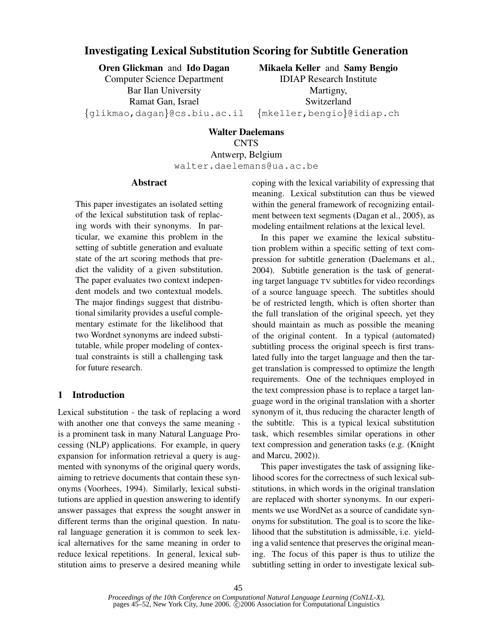# Investigating Lexical Substitution Scoring for Subtitle Generation

Oren Glickman and Ido Dagan

Computer Science Department Bar Ilan University Ramat Gan, Israel {glikmao,dagan}@cs.biu.ac.il

Mikaela Keller and Samy Bengio IDIAP Research Institute Martigny, Switzerland {mkeller,bengio}@idiap.ch

Walter Daelemans **CNTS** Antwerp, Belgium walter.daelemans@ua.ac.be

# Abstract

This paper investigates an isolated setting of the lexical substitution task of replacing words with their synonyms. In particular, we examine this problem in the setting of subtitle generation and evaluate state of the art scoring methods that predict the validity of a given substitution. The paper evaluates two context independent models and two contextual models. The major findings suggest that distributional similarity provides a useful complementary estimate for the likelihood that two Wordnet synonyms are indeed substitutable, while proper modeling of contextual constraints is still a challenging task for future research.

# 1 Introduction

Lexical substitution - the task of replacing a word with another one that conveys the same meaning is a prominent task in many Natural Language Processing (NLP) applications. For example, in query expansion for information retrieval a query is augmented with synonyms of the original query words, aiming to retrieve documents that contain these synonyms (Voorhees, 1994). Similarly, lexical substitutions are applied in question answering to identify answer passages that express the sought answer in different terms than the original question. In natural language generation it is common to seek lexical alternatives for the same meaning in order to reduce lexical repetitions. In general, lexical substitution aims to preserve a desired meaning while coping with the lexical variability of expressing that meaning. Lexical substitution can thus be viewed within the general framework of recognizing entailment between text segments (Dagan et al., 2005), as modeling entailment relations at the lexical level.

In this paper we examine the lexical substitution problem within a specific setting of text compression for subtitle generation (Daelemans et al., 2004). Subtitle generation is the task of generating target language TV subtitles for video recordings of a source language speech. The subtitles should be of restricted length, which is often shorter than the full translation of the original speech, yet they should maintain as much as possible the meaning of the original content. In a typical (automated) subtitling process the original speech is first translated fully into the target language and then the target translation is compressed to optimize the length requirements. One of the techniques employed in the text compression phase is to replace a target language word in the original translation with a shorter synonym of it, thus reducing the character length of the subtitle. This is a typical lexical substitution task, which resembles similar operations in other text compression and generation tasks (e.g. (Knight and Marcu, 2002)).

This paper investigates the task of assigning likelihood scores for the correctness of such lexical substitutions, in which words in the original translation are replaced with shorter synonyms. In our experiments we use WordNet as a source of candidate synonyms for substitution. The goal is to score the likelihood that the substitution is admissible, i.e. yielding a valid sentence that preserves the original meaning. The focus of this paper is thus to utilize the subtitling setting in order to investigate lexical sub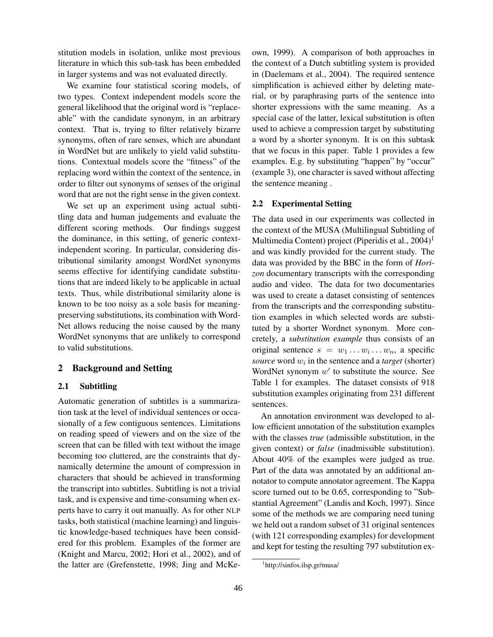stitution models in isolation, unlike most previous literature in which this sub-task has been embedded in larger systems and was not evaluated directly.

We examine four statistical scoring models, of two types. Context independent models score the general likelihood that the original word is "replaceable" with the candidate synonym, in an arbitrary context. That is, trying to filter relatively bizarre synonyms, often of rare senses, which are abundant in WordNet but are unlikely to yield valid substitutions. Contextual models score the "fitness" of the replacing word within the context of the sentence, in order to filter out synonyms of senses of the original word that are not the right sense in the given context.

We set up an experiment using actual subtitling data and human judgements and evaluate the different scoring methods. Our findings suggest the dominance, in this setting, of generic contextindependent scoring. In particular, considering distributional similarity amongst WordNet synonyms seems effective for identifying candidate substitutions that are indeed likely to be applicable in actual texts. Thus, while distributional similarity alone is known to be too noisy as a sole basis for meaningpreserving substitutions, its combination with Word-Net allows reducing the noise caused by the many WordNet synonyms that are unlikely to correspond to valid substitutions.

#### 2 Background and Setting

#### 2.1 Subtitling

Automatic generation of subtitles is a summarization task at the level of individual sentences or occasionally of a few contiguous sentences. Limitations on reading speed of viewers and on the size of the screen that can be filled with text without the image becoming too cluttered, are the constraints that dynamically determine the amount of compression in characters that should be achieved in transforming the transcript into subtitles. Subtitling is not a trivial task, and is expensive and time-consuming when experts have to carry it out manually. As for other NLP tasks, both statistical (machine learning) and linguistic knowledge-based techniques have been considered for this problem. Examples of the former are (Knight and Marcu, 2002; Hori et al., 2002), and of the latter are (Grefenstette, 1998; Jing and McKeown, 1999). A comparison of both approaches in the context of a Dutch subtitling system is provided in (Daelemans et al., 2004). The required sentence simplification is achieved either by deleting material, or by paraphrasing parts of the sentence into shorter expressions with the same meaning. As a special case of the latter, lexical substitution is often used to achieve a compression target by substituting a word by a shorter synonym. It is on this subtask that we focus in this paper. Table 1 provides a few examples. E.g. by substituting "happen" by "occur" (example 3), one character is saved without affecting the sentence meaning .

## 2.2 Experimental Setting

The data used in our experiments was collected in the context of the MUSA (Multilingual Subtitling of Multimedia Content) project (Piperidis et al.,  $2004$ )<sup>1</sup> and was kindly provided for the current study. The data was provided by the BBC in the form of *Horizon* documentary transcripts with the corresponding audio and video. The data for two documentaries was used to create a dataset consisting of sentences from the transcripts and the corresponding substitution examples in which selected words are substituted by a shorter Wordnet synonym. More concretely, a *substitution example* thus consists of an original sentence  $s = w_1 \dots w_i \dots w_n$ , a specific *source* word  $w_i$  in the sentence and a *target* (shorter) WordNet synonym  $w'$  to substitute the source. See Table 1 for examples. The dataset consists of 918 substitution examples originating from 231 different sentences.

An annotation environment was developed to allow efficient annotation of the substitution examples with the classes *true* (admissible substitution, in the given context) or *false* (inadmissible substitution). About 40% of the examples were judged as true. Part of the data was annotated by an additional annotator to compute annotator agreement. The Kappa score turned out to be 0.65, corresponding to "Substantial Agreement" (Landis and Koch, 1997). Since some of the methods we are comparing need tuning we held out a random subset of 31 original sentences (with 121 corresponding examples) for development and kept for testing the resulting 797 substitution ex-

<sup>1</sup> http://sinfos.ilsp.gr/musa/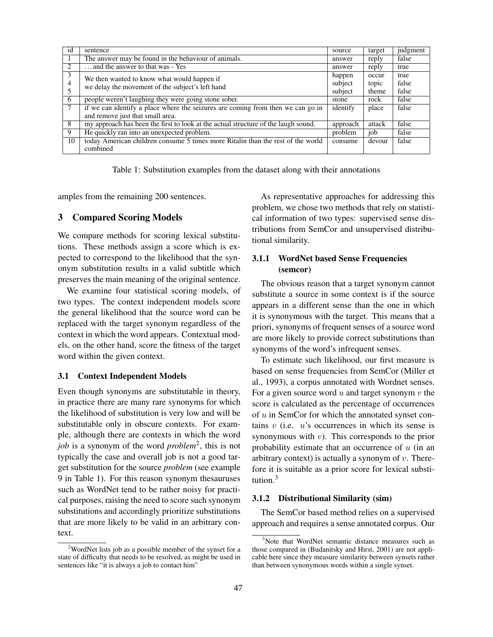| id | sentence                                                                           | source   | target | judgment |
|----|------------------------------------------------------------------------------------|----------|--------|----------|
|    | The answer may be found in the behaviour of animals.                               | answer   | reply  | false    |
| 2  | and the answer to that was - Yes                                                   | answer   | reply  | true     |
| 3  | We then wanted to know what would happen if                                        | happen   | occur  | true     |
| 4  | we delay the movement of the subject's left hand                                   | subject  | topic  | false    |
|    |                                                                                    | subject  | theme  | false    |
| 6  | people weren't laughing they were going stone sober.                               | stone    | rock   | false    |
| 7  | if we can identify a place where the seizures are coming from then we can go in    | identify | place  | false    |
|    | and remove just that small area.                                                   |          |        |          |
| 8  | my approach has been the first to look at the actual structure of the laugh sound. | approach | attack | false    |
| 9  | He quickly ran into an unexpected problem.                                         | problem  | job    | false    |
| 10 | today American children consume 5 times more Ritalin than the rest of the world    | consume  | devour | false    |
|    | combined                                                                           |          |        |          |

Table 1: Substitution examples from the dataset along with their annotations

amples from the remaining 200 sentences.

# 3 Compared Scoring Models

We compare methods for scoring lexical substitutions. These methods assign a score which is expected to correspond to the likelihood that the synonym substitution results in a valid subtitle which preserves the main meaning of the original sentence.

We examine four statistical scoring models, of two types. The context independent models score the general likelihood that the source word can be replaced with the target synonym regardless of the context in which the word appears. Contextual models, on the other hand, score the fitness of the target word within the given context.

## 3.1 Context Independent Models

Even though synonyms are substitutable in theory, in practice there are many rare synonyms for which the likelihood of substitution is very low and will be substitutable only in obscure contexts. For example, although there are contexts in which the word *job* is a synonym of the word *problem*<sup>2</sup> , this is not typically the case and overall job is not a good target substitution for the source *problem* (see example 9 in Table 1). For this reason synonym thesauruses such as WordNet tend to be rather noisy for practical purposes, raising the need to score such synonym substitutions and accordingly prioritize substitutions that are more likely to be valid in an arbitrary context.

As representative approaches for addressing this problem, we chose two methods that rely on statistical information of two types: supervised sense distributions from SemCor and unsupervised distributional similarity.

## 3.1.1 WordNet based Sense Frequencies (semcor)

The obvious reason that a target synonym cannot substitute a source in some context is if the source appears in a different sense than the one in which it is synonymous with the target. This means that a priori, synonyms of frequent senses of a source word are more likely to provide correct substitutions than synonyms of the word's infrequent senses.

To estimate such likelihood, our first measure is based on sense frequencies from SemCor (Miller et al., 1993), a corpus annotated with Wordnet senses. For a given source word  $u$  and target synonym  $v$  the score is calculated as the percentage of occurrences of  $u$  in SemCor for which the annotated synset contains  $v$  (i.e.  $u$ 's occurrences in which its sense is synonymous with  $v$ ). This corresponds to the prior probability estimate that an occurrence of  $u$  (in an arbitrary context) is actually a synonym of  $v$ . Therefore it is suitable as a prior score for lexical substitution.<sup>3</sup>

#### 3.1.2 Distributional Similarity (sim)

The SemCor based method relies on a supervised approach and requires a sense annotated corpus. Our

 $2$ WordNet lists job as a possible member of the synset for a state of difficulty that needs to be resolved, as might be used in sentences like "it is always a job to contact him"

<sup>&</sup>lt;sup>3</sup>Note that WordNet semantic distance measures such as those compared in (Budanitsky and Hirst, 2001) are not applicable here since they measure similarity between synsets rather than between synonymous words within a single synset.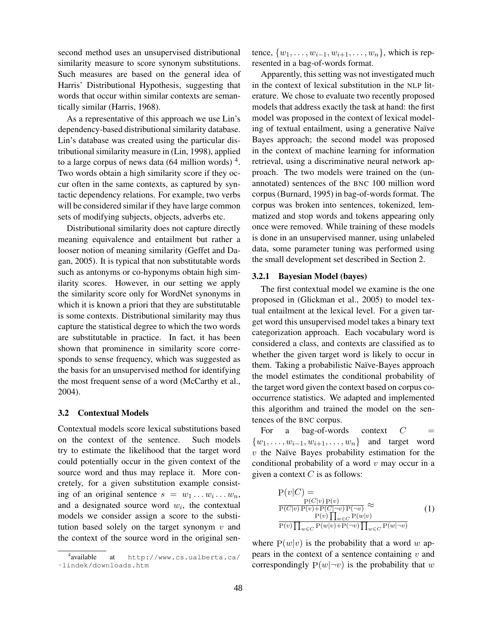second method uses an unsupervised distributional similarity measure to score synonym substitutions. Such measures are based on the general idea of Harris' Distributional Hypothesis, suggesting that words that occur within similar contexts are semantically similar (Harris, 1968).

As a representative of this approach we use Lin's dependency-based distributional similarity database. Lin's database was created using the particular distributional similarity measure in (Lin, 1998), applied to a large corpus of news data  $(64$  million words)<sup>4</sup>. Two words obtain a high similarity score if they occur often in the same contexts, as captured by syntactic dependency relations. For example, two verbs will be considered similar if they have large common sets of modifying subjects, objects, adverbs etc.

Distributional similarity does not capture directly meaning equivalence and entailment but rather a looser notion of meaning similarity (Geffet and Dagan, 2005). It is typical that non substitutable words such as antonyms or co-hyponyms obtain high similarity scores. However, in our setting we apply the similarity score only for WordNet synonyms in which it is known a priori that they are substitutable is some contexts. Distributional similarity may thus capture the statistical degree to which the two words are substitutable in practice. In fact, it has been shown that prominence in similarity score corresponds to sense frequency, which was suggested as the basis for an unsupervised method for identifying the most frequent sense of a word (McCarthy et al., 2004).

#### 3.2 Contextual Models

Contextual models score lexical substitutions based on the context of the sentence. Such models try to estimate the likelihood that the target word could potentially occur in the given context of the source word and thus may replace it. More concretely, for a given substitution example consisting of an original sentence  $s = w_1 \dots w_i \dots w_n$ , and a designated source word  $w_i$ , the contextual models we consider assign a score to the substitution based solely on the target synonym  $v$  and the context of the source word in the original sentence,  $\{w_1, \ldots, w_{i-1}, w_{i+1}, \ldots, w_n\}$ , which is represented in a bag-of-words format.

Apparently, this setting was not investigated much in the context of lexical substitution in the NLP literature. We chose to evaluate two recently proposed models that address exactly the task at hand: the first model was proposed in the context of lexical modeling of textual entailment, using a generative Naïve Bayes approach; the second model was proposed in the context of machine learning for information retrieval, using a discriminative neural network approach. The two models were trained on the (unannotated) sentences of the BNC 100 million word corpus (Burnard, 1995) in bag-of-words format. The corpus was broken into sentences, tokenized, lemmatized and stop words and tokens appearing only once were removed. While training of these models is done in an unsupervised manner, using unlabeled data, some parameter tuning was performed using the small development set described in Section 2.

#### 3.2.1 Bayesian Model (bayes)

The first contextual model we examine is the one proposed in (Glickman et al., 2005) to model textual entailment at the lexical level. For a given target word this unsupervised model takes a binary text categorization approach. Each vocabulary word is considered a class, and contexts are classified as to whether the given target word is likely to occur in them. Taking a probabilistic Naïve-Bayes approach the model estimates the conditional probability of the target word given the context based on corpus cooccurrence statistics. We adapted and implemented this algorithm and trained the model on the sentences of the BNC corpus.

For a bag-of-words context  $C =$  $\{w_1, \ldots, w_{i-1}, w_{i+1}, \ldots, w_n\}$  and target word  $v$  the Naïve Bayes probability estimation for the conditional probability of a word  $v$  may occur in a given a context  $C$  is as follows:

$$
P(v|C) = P(C|v)P(v) \n P(C|v)P(v) \approx P(C|v)P(v) + P(C|\neg v)P(\neg v) \approx P(v) \prod_{w \in C} P(w|v) \n P(v) \prod_{w \in C} P(w|v) + P(\neg v) \prod_{w \in C} P(w|\neg v)
$$
\n(1)

where  $P(w|v)$  is the probability that a word w appears in the context of a sentence containing  $v$  and correspondingly  $P(w|\neg v)$  is the probability that w

<sup>&</sup>lt;sup>4</sup>available at http://www.cs.ualberta.ca/ ˜lindek/downloads.htm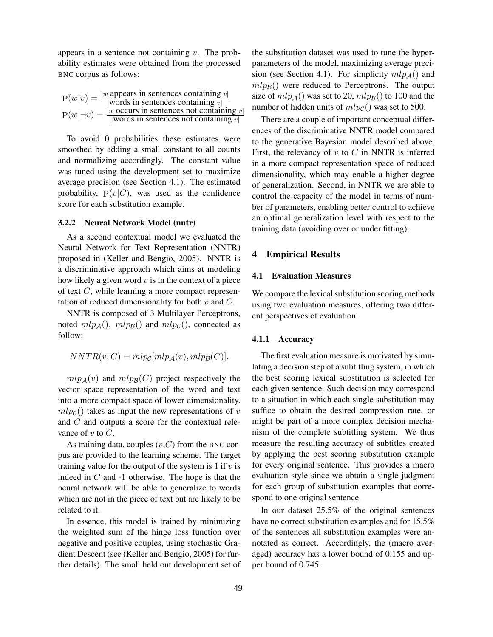appears in a sentence not containing  $v$ . The probability estimates were obtained from the processed BNC corpus as follows:

| $P(w v) = \frac{v}{v}$ | w appears in sentences containing $v$                                                                                               |
|------------------------|-------------------------------------------------------------------------------------------------------------------------------------|
|                        | words in sentences containing $v_1$                                                                                                 |
|                        | $ w$ occurs in sentences not containing $v$                                                                                         |
|                        | $P(w \neg v) = \frac{w \cdot \cos \theta + w \cdot \sin \theta}{ w \cdot \cos \theta }$ in sentences not containing $v^{\parallel}$ |

To avoid 0 probabilities these estimates were smoothed by adding a small constant to all counts and normalizing accordingly. The constant value was tuned using the development set to maximize average precision (see Section 4.1). The estimated probability,  $P(v|C)$ , was used as the confidence score for each substitution example.

#### 3.2.2 Neural Network Model (nntr)

As a second contextual model we evaluated the Neural Network for Text Representation (NNTR) proposed in (Keller and Bengio, 2005). NNTR is a discriminative approach which aims at modeling how likely a given word  $v$  is in the context of a piece of text C, while learning a more compact representation of reduced dimensionality for both  $v$  and  $C$ .

NNTR is composed of 3 Multilayer Perceptrons, noted  $mlp_{\mathcal{A}}()$ ,  $mlp_{\mathcal{B}}()$  and  $mlp_{\mathcal{C}}()$ , connected as follow:

$$
NNTR(v, C) = mlpc[mlp_{\mathcal{A}}(v), mlp_{\mathcal{B}}(C)].
$$

 $mlp_A(v)$  and  $mlp_B(C)$  project respectively the vector space representation of the word and text into a more compact space of lower dimensionality.  $mlp_C()$  takes as input the new representations of v and C and outputs a score for the contextual relevance of  $v$  to  $C$ .

As training data, couples  $(v, C)$  from the BNC corpus are provided to the learning scheme. The target training value for the output of the system is 1 if  $v$  is indeed in  $C$  and  $-1$  otherwise. The hope is that the neural network will be able to generalize to words which are not in the piece of text but are likely to be related to it.

In essence, this model is trained by minimizing the weighted sum of the hinge loss function over negative and positive couples, using stochastic Gradient Descent (see (Keller and Bengio, 2005) for further details). The small held out development set of the substitution dataset was used to tune the hyperparameters of the model, maximizing average precision (see Section 4.1). For simplicity  $mlp_A()$  and  $mlpg()$  were reduced to Perceptrons. The output size of  $mlp_A()$  was set to 20,  $mlp_B()$  to 100 and the number of hidden units of  $mlp_C()$  was set to 500.

There are a couple of important conceptual differences of the discriminative NNTR model compared to the generative Bayesian model described above. First, the relevancy of  $v$  to  $C$  in NNTR is inferred in a more compact representation space of reduced dimensionality, which may enable a higher degree of generalization. Second, in NNTR we are able to control the capacity of the model in terms of number of parameters, enabling better control to achieve an optimal generalization level with respect to the training data (avoiding over or under fitting).

### 4 Empirical Results

#### 4.1 Evaluation Measures

We compare the lexical substitution scoring methods using two evaluation measures, offering two different perspectives of evaluation.

#### 4.1.1 Accuracy

The first evaluation measure is motivated by simulating a decision step of a subtitling system, in which the best scoring lexical substitution is selected for each given sentence. Such decision may correspond to a situation in which each single substitution may suffice to obtain the desired compression rate, or might be part of a more complex decision mechanism of the complete subtitling system. We thus measure the resulting accuracy of subtitles created by applying the best scoring substitution example for every original sentence. This provides a macro evaluation style since we obtain a single judgment for each group of substitution examples that correspond to one original sentence.

In our dataset 25.5% of the original sentences have no correct substitution examples and for 15.5% of the sentences all substitution examples were annotated as correct. Accordingly, the (macro averaged) accuracy has a lower bound of 0.155 and upper bound of 0.745.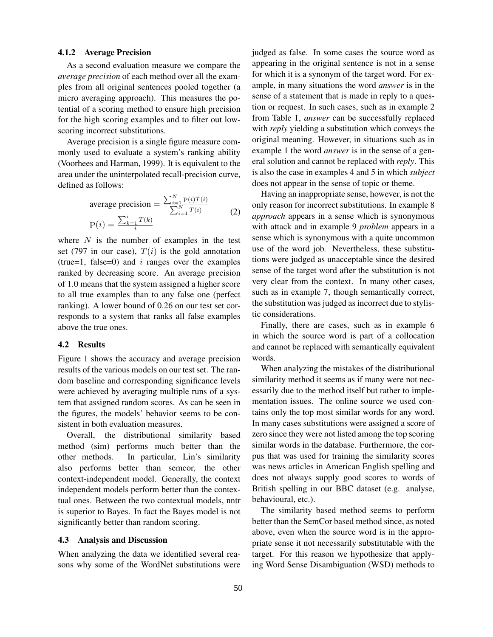## 4.1.2 Average Precision

As a second evaluation measure we compare the *average precision* of each method over all the examples from all original sentences pooled together (a micro averaging approach). This measures the potential of a scoring method to ensure high precision for the high scoring examples and to filter out lowscoring incorrect substitutions.

Average precision is a single figure measure commonly used to evaluate a system's ranking ability (Voorhees and Harman, 1999). It is equivalent to the area under the uninterpolated recall-precision curve, defined as follows:

average precision = 
$$
\frac{\sum_{i=1}^{N} P(i)T(i)}{\sum_{i=1}^{N} T(i)}
$$

$$
P(i) = \frac{\sum_{k=1}^{i} T(k)}{i}
$$
(2)

where  $N$  is the number of examples in the test set (797 in our case),  $T(i)$  is the gold annotation (true=1, false=0) and  $i$  ranges over the examples ranked by decreasing score. An average precision of 1.0 means that the system assigned a higher score to all true examples than to any false one (perfect ranking). A lower bound of 0.26 on our test set corresponds to a system that ranks all false examples above the true ones.

## 4.2 Results

Figure 1 shows the accuracy and average precision results of the various models on our test set. The random baseline and corresponding significance levels were achieved by averaging multiple runs of a system that assigned random scores. As can be seen in the figures, the models' behavior seems to be consistent in both evaluation measures.

Overall, the distributional similarity based method (sim) performs much better than the other methods. In particular, Lin's similarity also performs better than semcor, the other context-independent model. Generally, the context independent models perform better than the contextual ones. Between the two contextual models, nntr is superior to Bayes. In fact the Bayes model is not significantly better than random scoring.

#### 4.3 Analysis and Discussion

When analyzing the data we identified several reasons why some of the WordNet substitutions were judged as false. In some cases the source word as appearing in the original sentence is not in a sense for which it is a synonym of the target word. For example, in many situations the word *answer* is in the sense of a statement that is made in reply to a question or request. In such cases, such as in example 2 from Table 1, *answer* can be successfully replaced with *reply* yielding a substitution which conveys the original meaning. However, in situations such as in example 1 the word *answer* is in the sense of a general solution and cannot be replaced with *reply*. This is also the case in examples 4 and 5 in which *subject* does not appear in the sense of topic or theme.

Having an inappropriate sense, however, is not the only reason for incorrect substitutions. In example 8 *approach* appears in a sense which is synonymous with attack and in example 9 *problem* appears in a sense which is synonymous with a quite uncommon use of the word job. Nevertheless, these substitutions were judged as unacceptable since the desired sense of the target word after the substitution is not very clear from the context. In many other cases, such as in example 7, though semantically correct, the substitution was judged as incorrect due to stylistic considerations.

Finally, there are cases, such as in example 6 in which the source word is part of a collocation and cannot be replaced with semantically equivalent words.

When analyzing the mistakes of the distributional similarity method it seems as if many were not necessarily due to the method itself but rather to implementation issues. The online source we used contains only the top most similar words for any word. In many cases substitutions were assigned a score of zero since they were not listed among the top scoring similar words in the database. Furthermore, the corpus that was used for training the similarity scores was news articles in American English spelling and does not always supply good scores to words of British spelling in our BBC dataset (e.g. analyse, behavioural, etc.).

The similarity based method seems to perform better than the SemCor based method since, as noted above, even when the source word is in the appropriate sense it not necessarily substitutable with the target. For this reason we hypothesize that applying Word Sense Disambiguation (WSD) methods to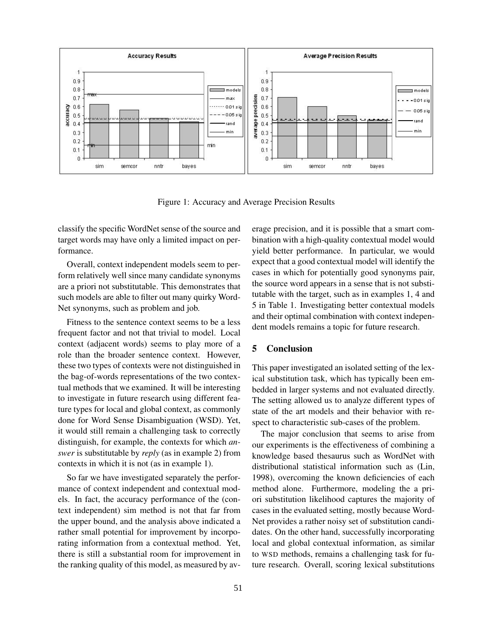

Figure 1: Accuracy and Average Precision Results

classify the specific WordNet sense of the source and target words may have only a limited impact on performance.

Overall, context independent models seem to perform relatively well since many candidate synonyms are a priori not substitutable. This demonstrates that such models are able to filter out many quirky Word-Net synonyms, such as problem and job.

Fitness to the sentence context seems to be a less frequent factor and not that trivial to model. Local context (adjacent words) seems to play more of a role than the broader sentence context. However, these two types of contexts were not distinguished in the bag-of-words representations of the two contextual methods that we examined. It will be interesting to investigate in future research using different feature types for local and global context, as commonly done for Word Sense Disambiguation (WSD). Yet, it would still remain a challenging task to correctly distinguish, for example, the contexts for which *answer* is substitutable by *reply* (as in example 2) from contexts in which it is not (as in example 1).

So far we have investigated separately the performance of context independent and contextual models. In fact, the accuracy performance of the (context independent) sim method is not that far from the upper bound, and the analysis above indicated a rather small potential for improvement by incorporating information from a contextual method. Yet, there is still a substantial room for improvement in the ranking quality of this model, as measured by average precision, and it is possible that a smart combination with a high-quality contextual model would yield better performance. In particular, we would expect that a good contextual model will identify the cases in which for potentially good synonyms pair, the source word appears in a sense that is not substitutable with the target, such as in examples 1, 4 and 5 in Table 1. Investigating better contextual models and their optimal combination with context independent models remains a topic for future research.

## 5 Conclusion

This paper investigated an isolated setting of the lexical substitution task, which has typically been embedded in larger systems and not evaluated directly. The setting allowed us to analyze different types of state of the art models and their behavior with respect to characteristic sub-cases of the problem.

The major conclusion that seems to arise from our experiments is the effectiveness of combining a knowledge based thesaurus such as WordNet with distributional statistical information such as (Lin, 1998), overcoming the known deficiencies of each method alone. Furthermore, modeling the a priori substitution likelihood captures the majority of cases in the evaluated setting, mostly because Word-Net provides a rather noisy set of substitution candidates. On the other hand, successfully incorporating local and global contextual information, as similar to WSD methods, remains a challenging task for future research. Overall, scoring lexical substitutions